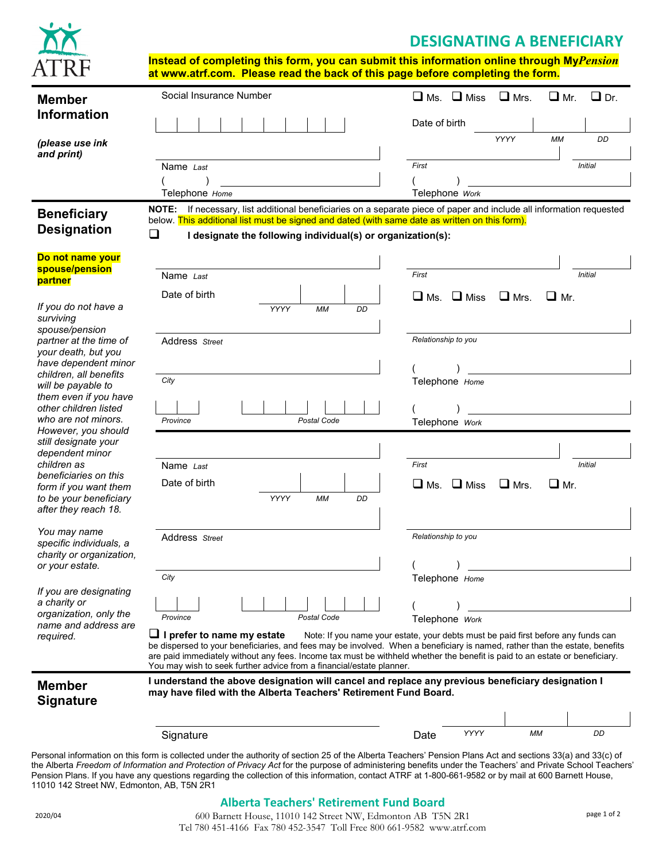# **DESIGNATING A BENEFICIARY**



**Instead of completing this form, you can submit this information online through My***Pension* **at www.atrf.com. Please read the back of this page before completing the form.**

|                                                | Social Insurance Number                                                                                                                                                                                                                                    | $\Box$ Ms. $\Box$ Miss<br>$\Box$ Mrs.<br>$\Box$ Mr.<br>$\Box$ Dr.                 |
|------------------------------------------------|------------------------------------------------------------------------------------------------------------------------------------------------------------------------------------------------------------------------------------------------------------|-----------------------------------------------------------------------------------|
| <b>Member</b><br><b>Information</b>            |                                                                                                                                                                                                                                                            |                                                                                   |
|                                                |                                                                                                                                                                                                                                                            | Date of birth                                                                     |
| (please use ink<br>and print)                  |                                                                                                                                                                                                                                                            | YYYY<br><b>MM</b><br>DD                                                           |
|                                                | Name Last                                                                                                                                                                                                                                                  | First<br><b>Initial</b>                                                           |
|                                                | Telephone Home                                                                                                                                                                                                                                             | Telephone Work                                                                    |
| <b>Beneficiary</b>                             | NOTE: If necessary, list additional beneficiaries on a separate piece of paper and include all information requested                                                                                                                                       |                                                                                   |
| <b>Designation</b>                             | below. This additional list must be signed and dated (with same date as written on this form).                                                                                                                                                             |                                                                                   |
|                                                | ❏<br>I designate the following individual(s) or organization(s):                                                                                                                                                                                           |                                                                                   |
| Do not name your<br>spouse/pension             |                                                                                                                                                                                                                                                            |                                                                                   |
| partner                                        | Name Last                                                                                                                                                                                                                                                  | First<br><b>Initial</b>                                                           |
|                                                | Date of birth                                                                                                                                                                                                                                              | $\Box$ Mrs.<br>$\Box$ Ms.<br>$\Box$ Miss<br>$\Box$ Mr.                            |
| If you do not have a<br>surviving              | YYYY<br><b>MM</b><br>DD                                                                                                                                                                                                                                    |                                                                                   |
| spouse/pension<br>partner at the time of       | Address Street                                                                                                                                                                                                                                             | Relationship to you                                                               |
| your death, but you<br>have dependent minor    |                                                                                                                                                                                                                                                            |                                                                                   |
| children, all benefits                         | City                                                                                                                                                                                                                                                       | Telephone Home                                                                    |
| will be payable to<br>them even if you have    |                                                                                                                                                                                                                                                            |                                                                                   |
| other children listed<br>who are not minors.   |                                                                                                                                                                                                                                                            |                                                                                   |
| However, you should                            | Province<br>Postal Code                                                                                                                                                                                                                                    | Telephone Work                                                                    |
| still designate your<br>dependent minor        |                                                                                                                                                                                                                                                            |                                                                                   |
| children as<br>beneficiaries on this           | Name Last                                                                                                                                                                                                                                                  | First<br><b>Initial</b>                                                           |
| form if you want them                          | Date of birth                                                                                                                                                                                                                                              | $\Box$ Miss<br>$\Box$ Mr.<br>$\square$ Ms.<br>$\Box$ Mrs.                         |
| to be your beneficiary<br>after they reach 18. | YYYY<br><b>MM</b><br>DD                                                                                                                                                                                                                                    |                                                                                   |
| You may name                                   |                                                                                                                                                                                                                                                            |                                                                                   |
| specific individuals, a                        | Address Street                                                                                                                                                                                                                                             | Relationship to you                                                               |
| charity or organization,<br>or your estate.    |                                                                                                                                                                                                                                                            | $\lambda$                                                                         |
|                                                | City                                                                                                                                                                                                                                                       | Telephone Home                                                                    |
| If you are designating<br>a charity or         |                                                                                                                                                                                                                                                            |                                                                                   |
| organization, only the<br>name and address are | Province<br>Postal Code                                                                                                                                                                                                                                    | Telephone Work                                                                    |
| required.                                      | $\Box$ I prefer to name my estate                                                                                                                                                                                                                          | Note: If you name your estate, your debts must be paid first before any funds can |
|                                                | be dispersed to your beneficiaries, and fees may be involved. When a beneficiary is named, rather than the estate, benefits<br>are paid immediately without any fees. Income tax must be withheld whether the benefit is paid to an estate or beneficiary. |                                                                                   |
|                                                | You may wish to seek further advice from a financial/estate planner.<br>I understand the above designation will cancel and replace any previous beneficiary designation I                                                                                  |                                                                                   |
| <b>Member</b><br><b>Signature</b>              | may have filed with the Alberta Teachers' Retirement Fund Board.                                                                                                                                                                                           |                                                                                   |
|                                                |                                                                                                                                                                                                                                                            |                                                                                   |
|                                                | Signature                                                                                                                                                                                                                                                  | YYYY<br>МM<br>DD<br>Date                                                          |
|                                                | Personal information on this form is collected under the authority of section 25 of the Alberta Teachers' Pension Plans Act and sections 33(a) and 33(c) of                                                                                                |                                                                                   |

Personal information on this form is collected under the authority of section 25 of the Alberta Teachers' Pension Plans Act and sections 33(a) and 33(c) of the Alberta *Freedom of Information and Protection of Privacy Act* for the purpose of administering benefits under the Teachers' and Private School Teachers' Pension Plans. If you have any questions regarding the collection of this information, contact ATRF at 1-800-661-9582 or by mail at 600 Barnett House, 11010 142 Street NW, Edmonton, AB, T5N 2R1

# **Alberta Teachers' Retirement Fund Board**

600 Barnett House, 11010 142 Street NW, Edmonton AB T5N 2R1 <sup>2020</sup> page 1 of 2/04 Tel 780 451-4166 Fax 780 452-3547 Toll Free 800 661-9582 www.atrf.com